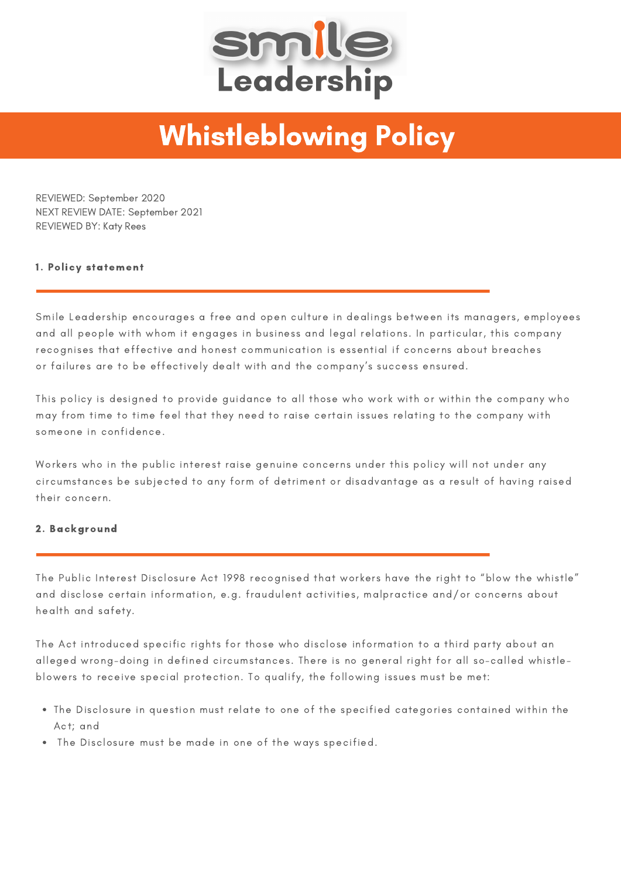

## Whistleblowing Policy

REVIEWED: September 2020 NEXT REVIEW DATE: September 2021 REVIEWED BY: Katy Rees

## 1. Policy statement

Smile Leadership encourages a free and open culture in dealings between its managers, employees and all people with whom it engages in business and legal relations. In particular, this company recognises that effective and honest communication is essential if concerns about breaches or failures are to be effectively dealt with and the company's success ensured.

This policy is designed to provide guidance to all those who work with or within the company who may from time to time feel that they need to raise certain issues relating to the company with someone in confidence.

Workers who in the public interest raise genuine concerns under this policy will not under any circumstances be subjected to any form of detriment or disadvantage as a result of having raised their concern.

## 2. Background

The Public Interest Disclosure Act 1998 recognised that workers have the right to "blow the whistle" and disclose certain information, e.g. fraudulent activities, malpractice and/or concerns about health and safety.

The Act introduced specific rights for those who disclose information to a third party about an alleged wrong-doing in defined circumstances. There is no general right for all so-called whistleblowers to receive special protection. To qualify, the following issues must be met:

- The Disclosure in question must relate to one of the specified categories contained within the Act; and
- The Disclosure must be made in one of the ways specified.